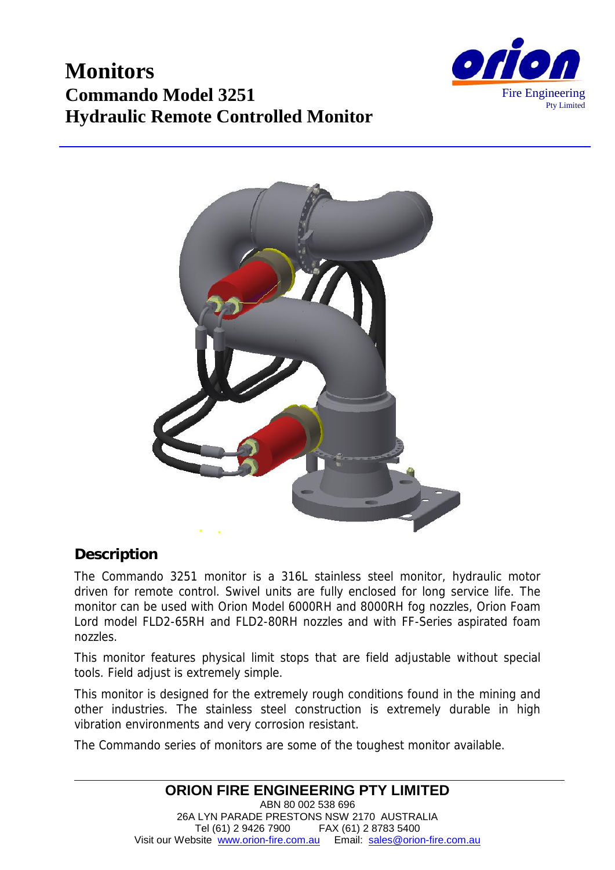





#### **Description**

The Commando 3251 monitor is a 316L stainless steel monitor, hydraulic motor driven for remote control. Swivel units are fully enclosed for long service life. The monitor can be used with Orion Model 6000RH and 8000RH fog nozzles, Orion Foam Lord model FLD2-65RH and FLD2-80RH nozzles and with FF-Series aspirated foam nozzles.

This monitor features physical limit stops that are field adjustable without special tools. Field adjust is extremely simple.

This monitor is designed for the extremely rough conditions found in the mining and other industries. The stainless steel construction is extremely durable in high vibration environments and very corrosion resistant.

The Commando series of monitors are some of the toughest monitor available.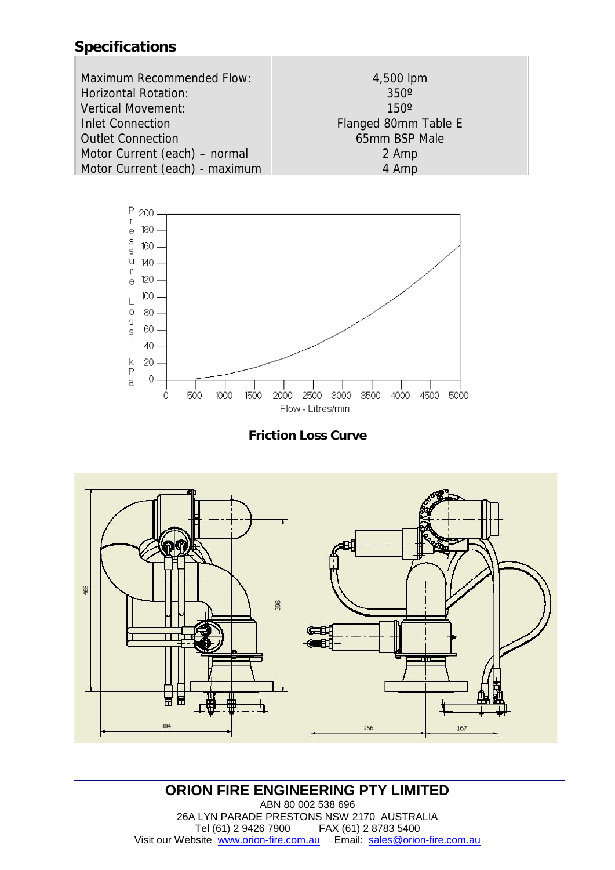# **Specifications**

| Maximum Recommended Flow:      | 4,500 lpm            |
|--------------------------------|----------------------|
| Horizontal Rotation:           | $350^\circ$          |
| Vertical Movement:             | $150^\circ$          |
| <b>Inlet Connection</b>        | Flanged 80mm Table E |
| <b>Outlet Connection</b>       | 65mm BSP Male        |
| Motor Current (each) - normal  | 2 Amp                |
| Motor Current (each) - maximum | 4 Amp                |







#### **ORION FIRE ENGINEERING PTY LIMITED** ABN 80 002 538 696 26A LYN PARADE PRESTONS NSW 2170 AUSTRALIA Tel (61) 2 9426 7900 FAX (61) 2 8783 5400 Visit our Website www.orion-fire.com.au Email: sales@orion-fire.com.au